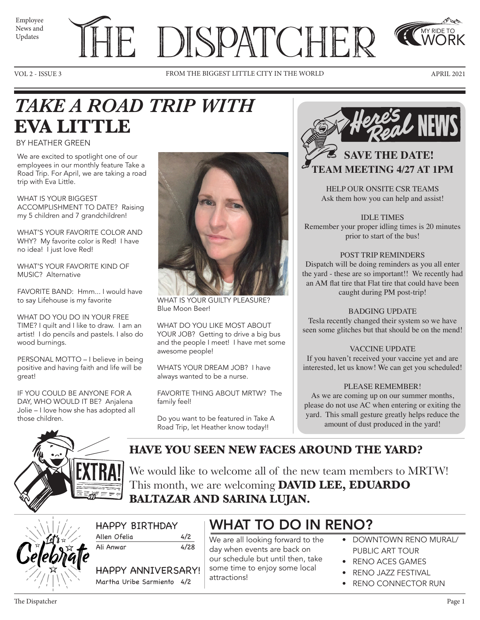| Employee |  |
|----------|--|
| News and |  |
| Updates  |  |

# E DISPATCHER

VOL 2 - ISSUE 3 FROM THE BIGGEST LITTLE CITY IN THE WORLD APRIL 2021



MY RIDE TO WORK

## *TAKE A ROAD TRIP WITH*  **EVA LITTLE**

### BY HEATHER GREEN

We are excited to spotlight one of our employees in our monthly feature Take a Road Trip. For April, we are taking a road trip with Eva Little.

WHAT IS YOUR BIGGEST ACCOMPLISHMENT TO DATE? Raising my 5 children and 7 grandchildren!

WHAT'S YOUR FAVORITE COLOR AND WHY? My favorite color is Red! I have no idea! I just love Red!

WHAT'S YOUR FAVORITE KIND OF MUSIC? Alternative

FAVORITE BAND: Hmm... I would have to say Lifehouse is my favorite

WHAT DO YOU DO IN YOUR FREE TIME? I quilt and I like to draw. I am an artist! I do pencils and pastels. I also do wood burnings.

PERSONAL MOTTO – I believe in being positive and having faith and life will be great!

IF YOU COULD BE ANYONE FOR A DAY, WHO WOULD IT BE? Anjalena Jolie – I love how she has adopted all those children.



WHAT IS YOUR GUILTY PLEASURE? Blue Moon Beer!

WHAT DO YOU LIKE MOST ABOUT YOUR JOB? Getting to drive a big bus and the people I meet! I have met some awesome people!

WHATS YOUR DREAM JOB? I have always wanted to be a nurse.

FAVORITE THING ABOUT MRTW? The family feel!

Do you want to be featured in Take A Road Trip, let Heather know today!!



HELP OUR ONSITE CSR TEAMS Ask them how you can help and assist!

IDLE TIMES Remember your proper idling times is 20 minutes prior to start of the bus!

### POST TRIP REMINDERS

Dispatch will be doing reminders as you all enter the yard - these are so important!! We recently had an AM flat tire that Flat tire that could have been caught during PM post-trip!

### BADGING UPDATE

Tesla recently changed their system so we have seen some glitches but that should be on the mend!

### VACCINE UPDATE

If you haven't received your vaccine yet and are interested, let us know! We can get you scheduled!

### PLEASE REMEMBER!

As we are coming up on our summer months, please do not use AC when entering or exiting the yard. This small gesture greatly helps reduce the amount of dust produced in the yard!



**HAVE YOU SEEN NEW FACES AROUND THE YARD?** 

We would like to welcome all of the new team members to MRTW! This month, we are welcoming **DAVID LEE, EDUARDO BALTAZAR AND SARINA LUJAN.** 



| <b>HAPPY BIRTHDAY</b> |     |
|-----------------------|-----|
| Allen Ofelia          | 4/2 |

Ali Anwar 4/28

HAPPY ANNIVERSARY! Martha Uribe Sarmiento 4/2

### WHAT TO DO IN RENO?

We are all looking forward to the day when events are back on our schedule but until then, take some time to enjoy some local attractions!

- DOWNTOWN RENO MURAL/ PUBLIC ART TOUR
- RENO ACES GAMES
- RENO JAZZ FESTIVAL
- RENO CONNECTOR RUN